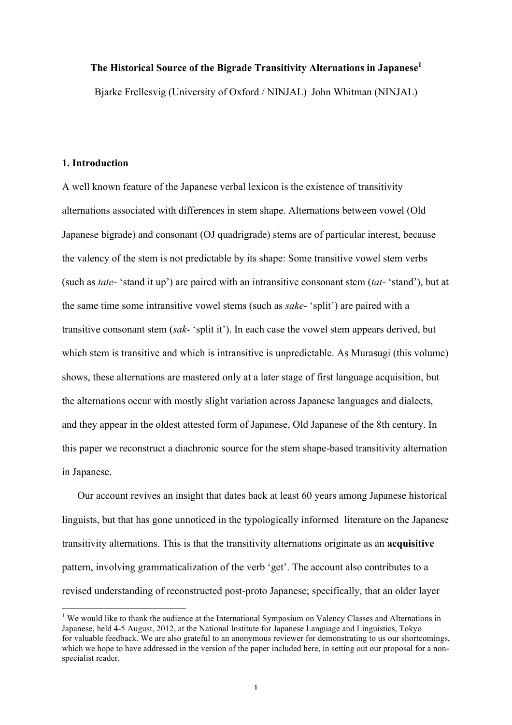# **The Historical Source of the Bigrade Transitivity Alternations in Japanese<sup>1</sup>**

Bjarke Frellesvig (University of Oxford / NINJAL) John Whitman (NINJAL)

### **1. Introduction**

A well known feature of the Japanese verbal lexicon is the existence of transitivity alternations associated with differences in stem shape. Alternations between vowel (Old Japanese bigrade) and consonant (OJ quadrigrade) stems are of particular interest, because the valency of the stem is not predictable by its shape: Some transitive vowel stem verbs (such as *tate*- 'stand it up') are paired with an intransitive consonant stem (*tat*- 'stand'), but at the same time some intransitive vowel stems (such as *sake*- 'split') are paired with a transitive consonant stem (*sak*- 'split it'). In each case the vowel stem appears derived, but which stem is transitive and which is intransitive is unpredictable. As Murasugi (this volume) shows, these alternations are mastered only at a later stage of first language acquisition, but the alternations occur with mostly slight variation across Japanese languages and dialects, and they appear in the oldest attested form of Japanese, Old Japanese of the 8th century. In this paper we reconstruct a diachronic source for the stem shape-based transitivity alternation in Japanese.

Our account revives an insight that dates back at least 60 years among Japanese historical linguists, but that has gone unnoticed in the typologically informed literature on the Japanese transitivity alternations. This is that the transitivity alternations originate as an **acquisitive** pattern, involving grammaticalization of the verb 'get'. The account also contributes to a revised understanding of reconstructed post-proto Japanese; specifically, that an older layer

<sup>&</sup>lt;sup>1</sup> We would like to thank the audience at the International Symposium on Valency Classes and Alternations in Japanese, held 4-5 August, 2012, at the National Institute for Japanese Language and Linguistics, Tokyo for valuable feedback. We are also grateful to an anonymous reviewer for demonstrating to us our shortcomings, which we hope to have addressed in the version of the paper included here, in setting out our proposal for a nonspecialist reader.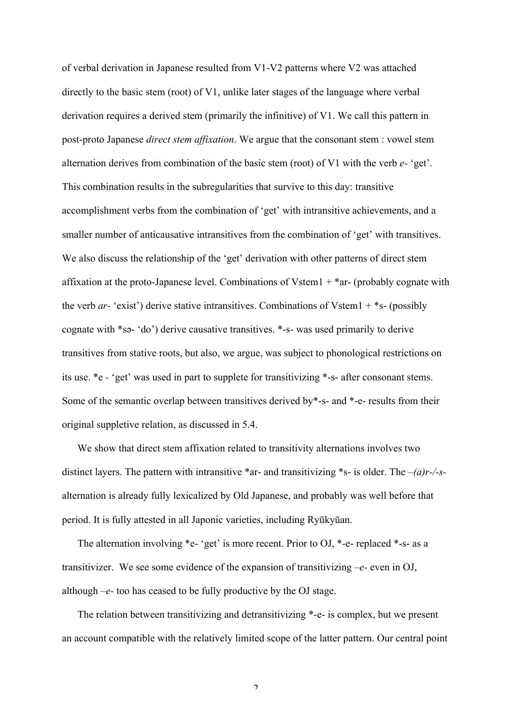of verbal derivation in Japanese resulted from V1-V2 patterns where V2 was attached directly to the basic stem (root) of V1, unlike later stages of the language where verbal derivation requires a derived stem (primarily the infinitive) of V1. We call this pattern in post-proto Japanese *direct stem affixation*. We argue that the consonant stem : vowel stem alternation derives from combination of the basic stem (root) of V1 with the verb *e-* 'get'. This combination results in the subregularities that survive to this day: transitive accomplishment verbs from the combination of 'get' with intransitive achievements, and a smaller number of anticausative intransitives from the combination of 'get' with transitives. We also discuss the relationship of the 'get' derivation with other patterns of direct stem affixation at the proto-Japanese level. Combinations of Vstem1  $+$  \*ar- (probably cognate with the verb *ar-* 'exist') derive stative intransitives. Combinations of Vstem1 + \*s- (possibly cognate with \*sa- 'do') derive causative transitives. \*-s- was used primarily to derive transitives from stative roots, but also, we argue, was subject to phonological restrictions on its use. \*e *-* 'get' was used in part to supplete for transitivizing \*-s- after consonant stems. Some of the semantic overlap between transitives derived by\*-s- and \*-e- results from their original suppletive relation, as discussed in 5.4.

We show that direct stem affixation related to transitivity alternations involves two distinct layers. The pattern with intransitive \*ar- and transitivizing \*s- is older. The *–(a)r-/-s*alternation is already fully lexicalized by Old Japanese, and probably was well before that period. It is fully attested in all Japonic varieties, including Ryūkyūan.

The alternation involving \*e- 'get' is more recent. Prior to OJ, \*-e- replaced \*-s- as a transitivizer. We see some evidence of the expansion of transitivizing *–e-* even in OJ, although *–e-* too has ceased to be fully productive by the OJ stage.

The relation between transitivizing and detransitivizing \*-e- is complex, but we present an account compatible with the relatively limited scope of the latter pattern. Our central point

 $\overline{2}$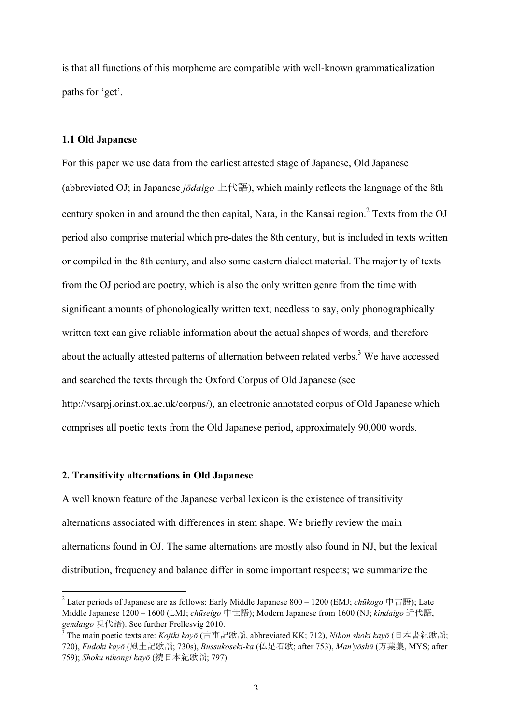is that all functions of this morpheme are compatible with well-known grammaticalization paths for 'get'.

### **1.1 Old Japanese**

For this paper we use data from the earliest attested stage of Japanese, Old Japanese (abbreviated OJ; in Japanese *jōdaigo* 上代語), which mainly reflects the language of the 8th century spoken in and around the then capital, Nara, in the Kansai region.<sup>2</sup> Texts from the OJ period also comprise material which pre-dates the 8th century, but is included in texts written or compiled in the 8th century, and also some eastern dialect material. The majority of texts from the OJ period are poetry, which is also the only written genre from the time with significant amounts of phonologically written text; needless to say, only phonographically written text can give reliable information about the actual shapes of words, and therefore about the actually attested patterns of alternation between related verbs.<sup>3</sup> We have accessed and searched the texts through the Oxford Corpus of Old Japanese (see http://vsarpj.orinst.ox.ac.uk/corpus/), an electronic annotated corpus of Old Japanese which comprises all poetic texts from the Old Japanese period, approximately 90,000 words.

#### **2. Transitivity alternations in Old Japanese**

A well known feature of the Japanese verbal lexicon is the existence of transitivity alternations associated with differences in stem shape. We briefly review the main alternations found in OJ. The same alternations are mostly also found in NJ, but the lexical distribution, frequency and balance differ in some important respects; we summarize the

 <sup>2</sup> Later periods of Japanese are as follows: Early Middle Japanese 800 – 1200 (EMJ; *chūkogo* 中古語); Late Middle Japanese 1200 – 1600 (LMJ; *chūseigo* 中世語); Modern Japanese from 1600 (NJ; *kindaigo* 近代語, *gendaigo* 現代語). See further Frellesvig 2010.

<sup>3</sup> The main poetic texts are: *Kojiki kayō* (古事記歌謡, abbreviated KK; 712), *Nihon shoki kayō* (日本書紀歌謡; 720), *Fudoki kayō* (風土記歌謡; 730s), *Bussukoseki-ka* (仏足石歌; after 753), *Man'yōshū* (万葉集, MYS; after 759); *Shoku nihongi kayō* (続日本紀歌謡; 797).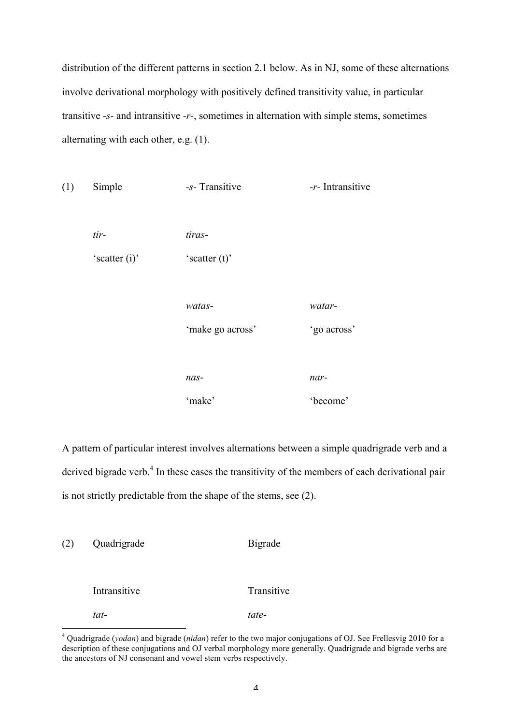distribution of the different patterns in section 2.1 below. As in NJ, some of these alternations involve derivational morphology with positively defined transitivity value, in particular transitive *-s-* and intransitive *-r-*, sometimes in alternation with simple stems, sometimes alternating with each other, e.g. (1).

| (1) | Simple        | -s- Transitive   | -r- Intransitive |
|-----|---------------|------------------|------------------|
|     |               |                  |                  |
|     | $tir-$        | tiras-           |                  |
|     | 'scatter (i)' | 'scatter $(t)$ ' |                  |
|     |               |                  |                  |
|     |               | watas-           | watar-           |
|     |               | 'make go across' | 'go across'      |
|     |               |                  |                  |
|     |               | nas-             | nar-             |
|     |               | 'make'           | 'become'         |

A pattern of particular interest involves alternations between a simple quadrigrade verb and a derived bigrade verb.<sup>4</sup> In these cases the transitivity of the members of each derivational pair is not strictly predictable from the shape of the stems, see (2).

| (2) | Quadrigrade  | <b>Bigrade</b> |
|-----|--------------|----------------|
|     |              |                |
|     | Intransitive | Transitive     |
|     | tat-         | tate-          |

 <sup>4</sup> Quadrigrade (*yodan*) and bigrade (*nidan*) refer to the two major conjugations of OJ. See Frellesvig 2010 for a description of these conjugations and OJ verbal morphology more generally. Quadrigrade and bigrade verbs are the ancestors of NJ consonant and vowel stem verbs respectively.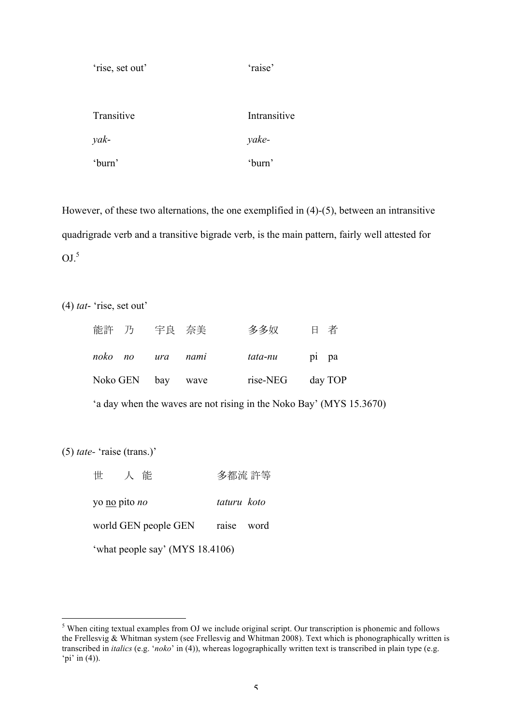| 'rise, set out' | 'raise'      |
|-----------------|--------------|
|                 |              |
| Transitive      | Intransitive |
| yak-            | yake-        |
| 'burn'          | 'burn'       |

However, of these two alternations, the one exemplified in (4)-(5), between an intransitive quadrigrade verb and a transitive bigrade verb, is the main pattern, fairly well attested for  $OJ<sub>1</sub><sup>5</sup>$ 

(4) *tat*- 'rise, set out'

| 能許 乃 宇良 奈美        |  | 多多奴                  | 日者 |
|-------------------|--|----------------------|----|
| noko no ura nami  |  | <i>tata-nu</i> pi pa |    |
| Noko GEN bay wave |  | rise-NEG day TOP     |    |

'a day when the waves are not rising in the Noko Bay' (MYS 15.3670)

(5) *tate-* 'raise (trans.)'

| 人能<br>世                         | 多都流 許等      |  |
|---------------------------------|-------------|--|
| yo no pito <i>no</i>            | taturu koto |  |
| world GEN people GEN            | raise word  |  |
| 'what people say' (MYS 18.4106) |             |  |

<sup>&</sup>lt;sup>5</sup> When citing textual examples from OJ we include original script. Our transcription is phonemic and follows the Frellesvig & Whitman system (see Frellesvig and Whitman 2008). Text which is phonographically written is transcribed in *italics* (e.g. '*noko*' in (4)), whereas logographically written text is transcribed in plain type (e.g. 'pi' in  $(4)$ ).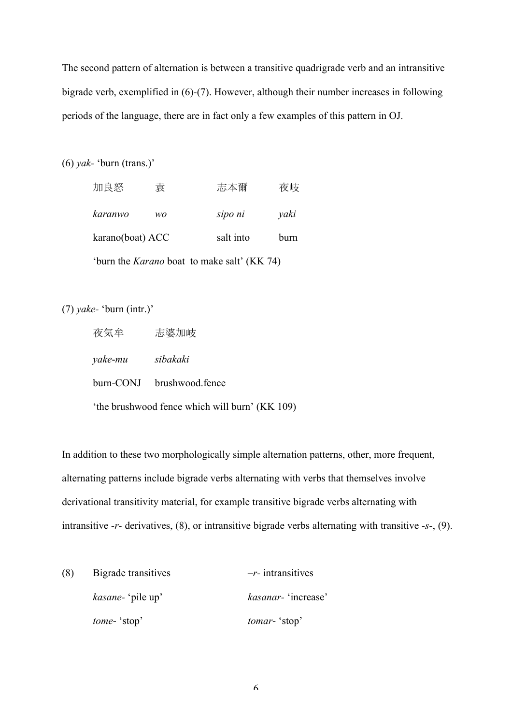The second pattern of alternation is between a transitive quadrigrade verb and an intransitive bigrade verb, exemplified in (6)-(7). However, although their number increases in following periods of the language, there are in fact only a few examples of this pattern in OJ.

(6) *yak-* 'burn (trans.)'

| 加良怒                                                | 袁  | 志本爾       | 夜岐   |  |
|----------------------------------------------------|----|-----------|------|--|
| karanwo                                            | wo | sipo ni   | yaki |  |
| karano(boat) ACC                                   |    | salt into | burn |  |
| 'burn the <i>Karano</i> boat to make salt' (KK 74) |    |           |      |  |

(7) *yake-* 'burn (intr.)'

| 夜気牟                                            | 志婆加岐                      |  |  |
|------------------------------------------------|---------------------------|--|--|
| yake-mu sibakaki                               |                           |  |  |
|                                                | burn-CONJ brushwood.fence |  |  |
| 'the brushwood fence which will burn' (KK 109) |                           |  |  |

In addition to these two morphologically simple alternation patterns, other, more frequent, alternating patterns include bigrade verbs alternating with verbs that themselves involve derivational transitivity material, for example transitive bigrade verbs alternating with intransitive *-r-* derivatives, (8), or intransitive bigrade verbs alternating with transitive *-s-*, (9).

| (8) | Bigrade transitives       | $-r$ - intransitives        |
|-----|---------------------------|-----------------------------|
|     | <i>kasane</i> - 'pile up' | <i>kasanar</i> - 'increase' |
|     | <i>tome</i> - 'stop'      | tomar-'stop'                |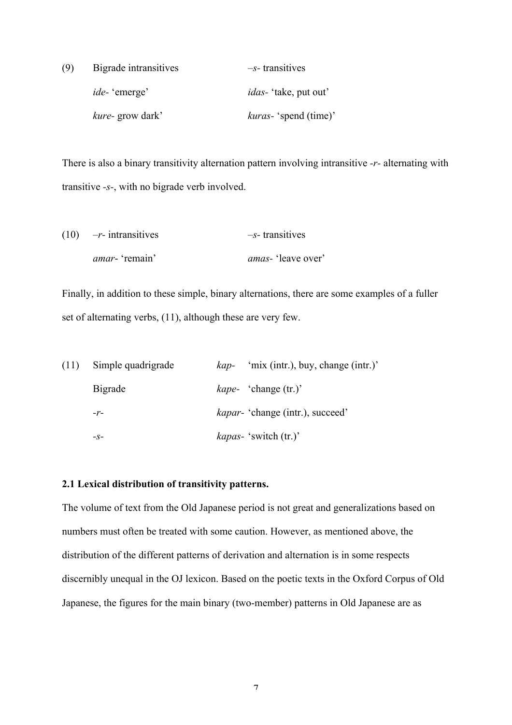| (9) | Bigrade intransitives   | $-s$ -transitives             |
|-----|-------------------------|-------------------------------|
|     | <i>ide</i> - 'emerge'   | <i>idas</i> - 'take, put out' |
|     | <i>kure-</i> grow dark' | <i>kuras</i> - 'spend (time)' |

There is also a binary transitivity alternation pattern involving intransitive *-r-* alternating with transitive *-s-*, with no bigrade verb involved.

| $(10)$ -r- intransitives | $-s$ -transitives          |
|--------------------------|----------------------------|
| <i>amar</i> - 'remain'   | <i>amas</i> - 'leave over' |

Finally, in addition to these simple, binary alternations, there are some examples of a fuller set of alternating verbs, (11), although these are very few.

| (11) | Simple quadrigrade | 'mix (intr.), buy, change (intr.)'<br>kap- |
|------|--------------------|--------------------------------------------|
|      | <b>Bigrade</b>     | <i>kape-</i> 'change (tr.)'                |
|      | $-r-$              | <i>kapar</i> - 'change (intr.), succeed'   |
|      | $-S-$              | <i>kapas</i> - 'switch (tr.)'              |

### **2.1 Lexical distribution of transitivity patterns.**

The volume of text from the Old Japanese period is not great and generalizations based on numbers must often be treated with some caution. However, as mentioned above, the distribution of the different patterns of derivation and alternation is in some respects discernibly unequal in the OJ lexicon. Based on the poetic texts in the Oxford Corpus of Old Japanese, the figures for the main binary (two-member) patterns in Old Japanese are as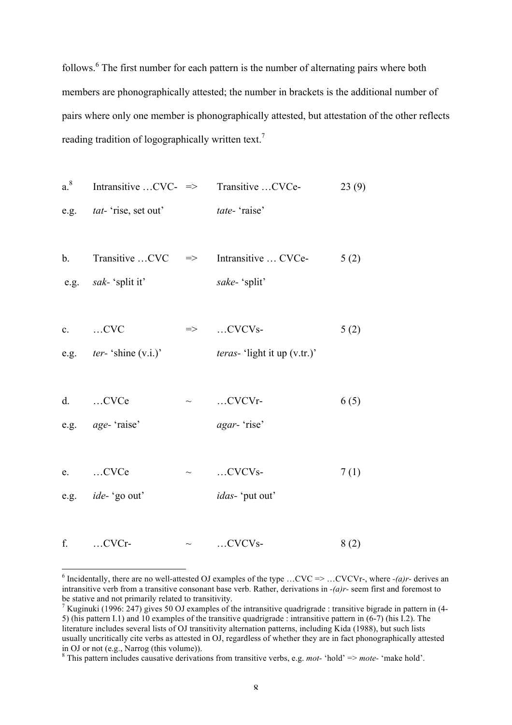follows.<sup>6</sup> The first number for each pattern is the number of alternating pairs where both members are phonographically attested; the number in brackets is the additional number of pairs where only one member is phonographically attested, but attestation of the other reflects reading tradition of logographically written text.<sup>7</sup>

a.<sup>8</sup> Intransitive...
$$
CVC
$$
 => Transitive... $CVC$ e- $23(9)$   
e.g. *tat-* 'rise, set out'  
*tate-* 'raise'

b. Transitive  $CVC \implies$  Intransitive  $CVC$  => 5 (2) e.g. *sak-* 'split it' *sake-* 'split'

c. …CVC  $\implies$  …CVCVs- 5 (2) e.g. *ter-* 'shine (v.i.)' *teras-* 'light it up (v.tr.)'

d.  $CVCe$   $\sim$   $CVCVr$ -  $6(5)$ 

e.g. *age-* 'raise' *agar-* 'rise'

e. ...CVCe  $\sim$  ...CVCVs- 7(1) e.g. *ide-* 'go out' *idas-* 'put out'

f. …CVCr-  $\sim$  …CVCVs- 8 (2)

<sup>&</sup>lt;sup>6</sup> Incidentally, there are no well-attested OJ examples of the type ...CVC => ...CVCVr-, where  $-(a)r$ - derives an intransitive verb from a transitive consonant base verb. Rather, derivations in *-(a)r-* seem first and foremost to be stative and not primarily related to transitivity.

<sup>&</sup>lt;sup>7</sup> Kuginuki (1996: 247) gives 50 OJ examples of the intransitive quadrigrade : transitive bigrade in pattern in (4-5) (his pattern I.1) and 10 examples of the transitive quadrigrade : intransitive pattern in (6-7) (his I.2). The literature includes several lists of OJ transitivity alternation patterns, including Kida (1988), but such lists usually uncritically cite verbs as attested in OJ, regardless of whether they are in fact phonographically attested in OJ or not (e.g., Narrog (this volume)).

<sup>8</sup> This pattern includes causative derivations from transitive verbs, e.g. *mot-* 'hold' => *mote-* 'make hold'.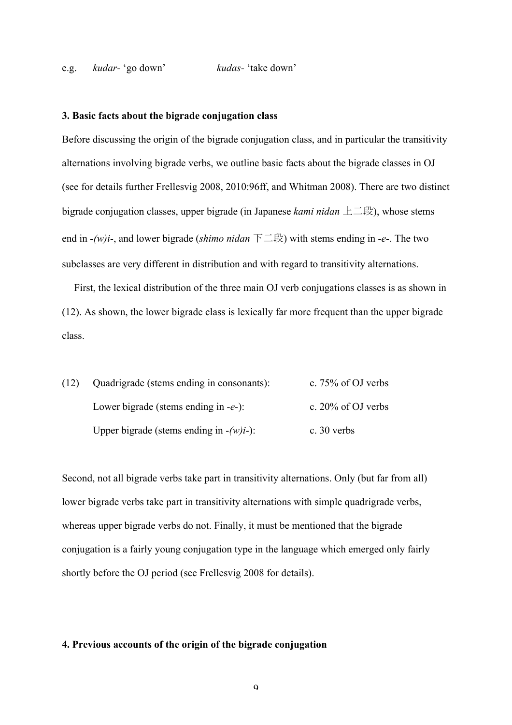#### e.g. *kudar-* 'go down' *kudas-* 'take down'

#### **3. Basic facts about the bigrade conjugation class**

Before discussing the origin of the bigrade conjugation class, and in particular the transitivity alternations involving bigrade verbs, we outline basic facts about the bigrade classes in OJ (see for details further Frellesvig 2008, 2010:96ff, and Whitman 2008). There are two distinct bigrade conjugation classes, upper bigrade (in Japanese *kami nidan* 上二段), whose stems end in *-(w)i-*, and lower bigrade (*shimo nidan* 下二段) with stems ending in *-e-*. The two subclasses are very different in distribution and with regard to transitivity alternations.

First, the lexical distribution of the three main OJ verb conjugations classes is as shown in (12). As shown, the lower bigrade class is lexically far more frequent than the upper bigrade class.

| (12) | Quadrigrade (stems ending in consonants):  | c. $75\%$ of OJ verbs |
|------|--------------------------------------------|-----------------------|
|      | Lower bigrade (stems ending in $-e$ -):    | c. $20\%$ of OJ verbs |
|      | Upper bigrade (stems ending in $-(w)i$ -): | c. $30$ verbs         |

Second, not all bigrade verbs take part in transitivity alternations. Only (but far from all) lower bigrade verbs take part in transitivity alternations with simple quadrigrade verbs, whereas upper bigrade verbs do not. Finally, it must be mentioned that the bigrade conjugation is a fairly young conjugation type in the language which emerged only fairly shortly before the OJ period (see Frellesvig 2008 for details).

#### **4. Previous accounts of the origin of the bigrade conjugation**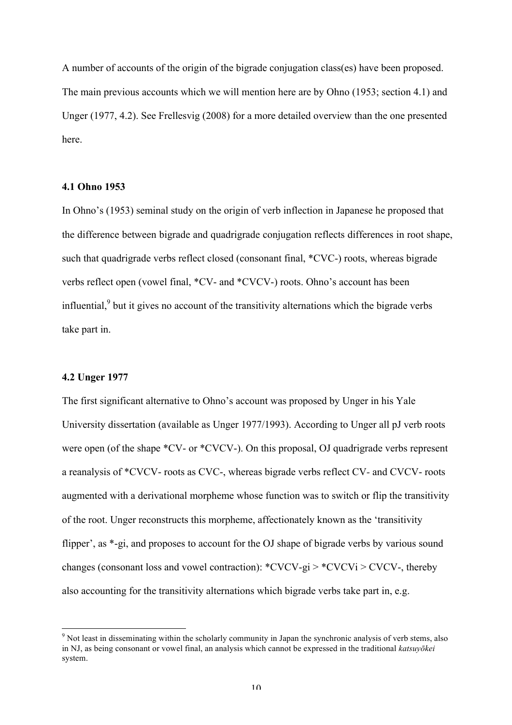A number of accounts of the origin of the bigrade conjugation class(es) have been proposed. The main previous accounts which we will mention here are by Ohno (1953; section 4.1) and Unger (1977, 4.2). See Frellesvig (2008) for a more detailed overview than the one presented here.

### **4.1 Ohno 1953**

In Ohno's (1953) seminal study on the origin of verb inflection in Japanese he proposed that the difference between bigrade and quadrigrade conjugation reflects differences in root shape, such that quadrigrade verbs reflect closed (consonant final, \*CVC-) roots, whereas bigrade verbs reflect open (vowel final, \*CV- and \*CVCV-) roots. Ohno's account has been influential, $\delta$  but it gives no account of the transitivity alternations which the bigrade verbs take part in.

#### **4.2 Unger 1977**

The first significant alternative to Ohno's account was proposed by Unger in his Yale University dissertation (available as Unger 1977/1993). According to Unger all pJ verb roots were open (of the shape  $*CV$ - or  $*CVCV$ -). On this proposal, OJ quadrigrade verbs represent a reanalysis of \*CVCV- roots as CVC-, whereas bigrade verbs reflect CV*-* and CVCV- roots augmented with a derivational morpheme whose function was to switch or flip the transitivity of the root. Unger reconstructs this morpheme, affectionately known as the 'transitivity flipper', as \*-gi, and proposes to account for the OJ shape of bigrade verbs by various sound changes (consonant loss and vowel contraction):  $*CVCV-gi$  >  $*CVCVi$  >  $CVCV$ , thereby also accounting for the transitivity alternations which bigrade verbs take part in, e.g.

 $9$  Not least in disseminating within the scholarly community in Japan the synchronic analysis of verb stems, also in NJ, as being consonant or vowel final, an analysis which cannot be expressed in the traditional *katsuyōkei* system.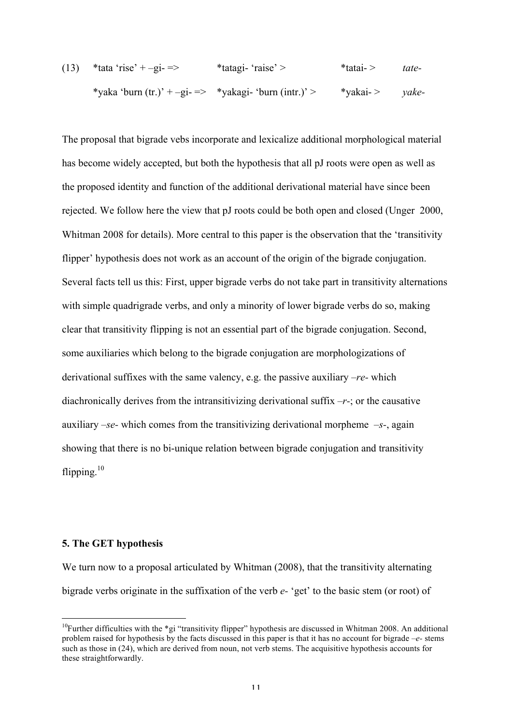(13) \*tata 'rise' + –gi- => \*tatagi- 'raise' > \*tatai- > *tate-* \*yaka 'burn (tr.)' + –gi- => \*yakagi- 'burn (intr.)' > \*yakai- > *yake-*

The proposal that bigrade vebs incorporate and lexicalize additional morphological material has become widely accepted, but both the hypothesis that all pJ roots were open as well as the proposed identity and function of the additional derivational material have since been rejected. We follow here the view that pJ roots could be both open and closed (Unger 2000, Whitman 2008 for details). More central to this paper is the observation that the 'transitivity flipper' hypothesis does not work as an account of the origin of the bigrade conjugation. Several facts tell us this: First, upper bigrade verbs do not take part in transitivity alternations with simple quadrigrade verbs, and only a minority of lower bigrade verbs do so, making clear that transitivity flipping is not an essential part of the bigrade conjugation. Second, some auxiliaries which belong to the bigrade conjugation are morphologizations of derivational suffixes with the same valency, e.g. the passive auxiliary *–re-* which diachronically derives from the intransitivizing derivational suffix *–r-*; or the causative auxiliary *–se-* which comes from the transitivizing derivational morpheme *–s-*, again showing that there is no bi-unique relation between bigrade conjugation and transitivity flipping. $10$ 

#### **5. The GET hypothesis**

We turn now to a proposal articulated by Whitman (2008), that the transitivity alternating bigrade verbs originate in the suffixation of the verb *e-* 'get' to the basic stem (or root) of

<sup>&</sup>lt;sup>10</sup>Further difficulties with the  $*$ gi "transitivity flipper" hypothesis are discussed in Whitman 2008. An additional problem raised for hypothesis by the facts discussed in this paper is that it has no account for bigrade *–e-* stems such as those in (24), which are derived from noun, not verb stems. The acquisitive hypothesis accounts for these straightforwardly.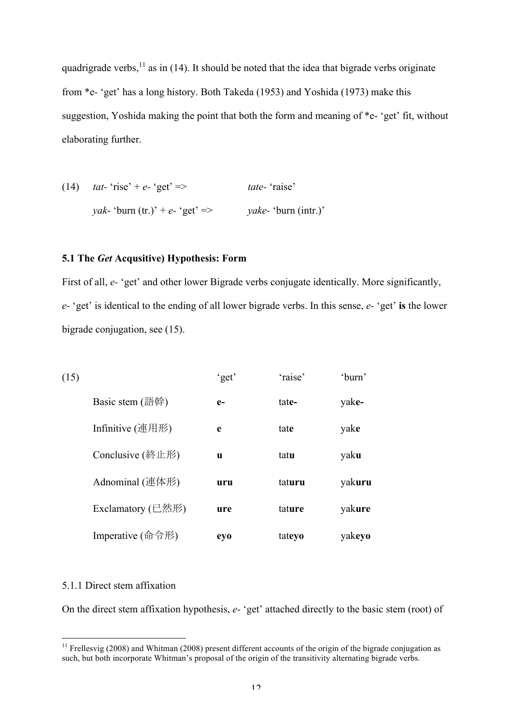quadrigrade verbs,  $11$  as in (14). It should be noted that the idea that bigrade verbs originate from \*e*-* 'get' has a long history. Both Takeda (1953) and Yoshida (1973) make this suggestion, Yoshida making the point that both the form and meaning of \*e- 'get' fit, without elaborating further.

(14) *tat-* 'rise' + *e-* 'get' => *tate-* 'raise' *yak*- 'burn (tr.)' + *e-* 'get' => *yake-* 'burn (intr.)'

### **5.1 The** *Get* **Acqusitive) Hypothesis: Form**

First of all, *e*- 'get' and other lower Bigrade verbs conjugate identically. More significantly, *e-* 'get' is identical to the ending of all lower bigrade verbs. In this sense, *e-* 'get' **is** the lower bigrade conjugation, see (15).

| (15) |                       | 'get' | 'raise' | 'burn' |
|------|-----------------------|-------|---------|--------|
|      | Basic stem $($ 語幹 $)$ | $e-$  | tate-   | yake-  |
|      | Infinitive (連用形)      | e     | tate    | yake   |
|      | Conclusive (終止形)      | u     | tatu    | yaku   |
|      | Adnominal (連体形)       | uru   | taturu  | yakuru |
|      | Exclamatory $(E$ 然形   | ure   | tature  | yakure |
|      | Imperative (命令形)      | eyo   | tateyo  | yakeyo |

### 5.1.1 Direct stem affixation

On the direct stem affixation hypothesis, *e-* 'get' attached directly to the basic stem (root) of

<sup>&</sup>lt;sup>11</sup> Frellesvig (2008) and Whitman (2008) present different accounts of the origin of the bigrade conjugation as such, but both incorporate Whitman's proposal of the origin of the transitivity alternating bigrade verbs.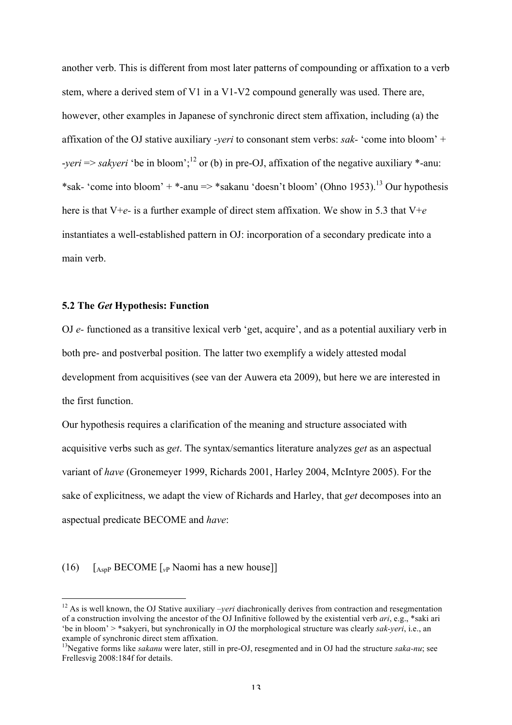another verb. This is different from most later patterns of compounding or affixation to a verb stem, where a derived stem of V1 in a V1-V2 compound generally was used. There are, however, other examples in Japanese of synchronic direct stem affixation, including (a) the affixation of the OJ stative auxiliary *-yeri* to consonant stem verbs: *sak-* 'come into bloom' + -*yeri* => *sakyeri* 'be in bloom';<sup>12</sup> or (b) in pre-OJ, affixation of the negative auxiliary \*-anu: \*sak- 'come into bloom' +  $*$ -anu =>  $*$ sakanu 'doesn't bloom' (Ohno 1953).<sup>13</sup> Our hypothesis here is that V+*e-* is a further example of direct stem affixation. We show in 5.3 that V+*e* instantiates a well-established pattern in OJ: incorporation of a secondary predicate into a main verb.

### **5.2 The** *Get* **Hypothesis: Function**

OJ *e-* functioned as a transitive lexical verb 'get, acquire', and as a potential auxiliary verb in both pre- and postverbal position. The latter two exemplify a widely attested modal development from acquisitives (see van der Auwera eta 2009), but here we are interested in the first function.

Our hypothesis requires a clarification of the meaning and structure associated with acquisitive verbs such as *get*. The syntax/semantics literature analyzes *get* as an aspectual variant of *have* (Gronemeyer 1999, Richards 2001, Harley 2004, McIntyre 2005). For the sake of explicitness, we adapt the view of Richards and Harley, that *get* decomposes into an aspectual predicate BECOME and *have*:

### (16) [AspP BECOME [*v*<sup>P</sup> Naomi has a new house]]

<sup>&</sup>lt;sup>12</sup> As is well known, the OJ Stative auxiliary *–veri* diachronically derives from contraction and resegmentation of a construction involving the ancestor of the OJ Infinitive followed by the existential verb *ari*, e.g., \*saki ari 'be in bloom' > \*sakyeri, but synchronically in OJ the morphological structure was clearly *sak-yeri*, i.e., an example of synchronic direct stem affixation.

<sup>13</sup>Negative forms like *sakanu* were later, still in pre-OJ, resegmented and in OJ had the structure *saka-nu*; see Frellesvig 2008:184f for details.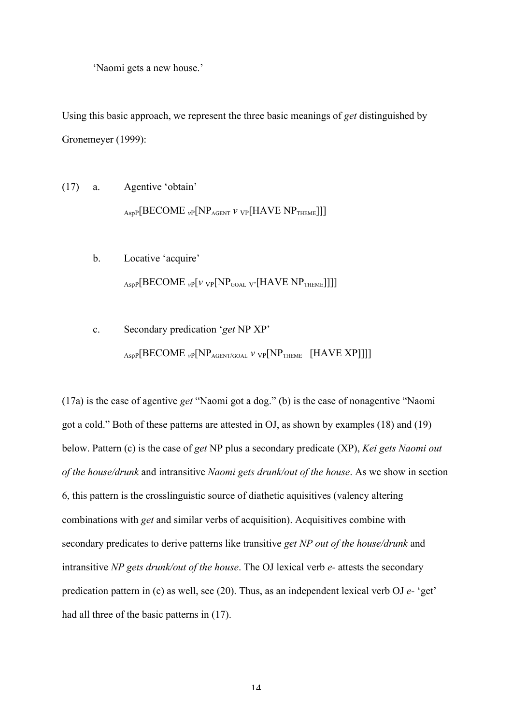'Naomi gets a new house.'

Using this basic approach, we represent the three basic meanings of *get* distinguished by Gronemeyer (1999):

- (17) a. Agentive 'obtain' AspP[BECOME <sub>*v*P</sub>[NP<sub>AGENT</sub> *v* <sub>VP</sub>[HAVE NP<sub>THEME</sub>]]]
	- b. Locative 'acquire'  $_{\text{AspP}}[\text{BECOME }$ <sub>*vP*</sub> $[\text{v }$ <sub>VP</sub> $[\text{NP}_{\text{GOAL}}$ <sub>V'</sub> $[\text{HAVE }$ NP<sub>THEME</sub>]]]]
	- c. Secondary predication '*get* NP XP' AspP[BECOME <sub>*v*P</sub>[NP<sub>AGENT/GOAL</sub> *v v*<sub>P</sub>[NP<sub>THEME</sub> [HAVE XP]]]]

(17a) is the case of agentive *get* "Naomi got a dog." (b) is the case of nonagentive "Naomi got a cold." Both of these patterns are attested in OJ, as shown by examples (18) and (19) below. Pattern (c) is the case of *get* NP plus a secondary predicate (XP), *Kei gets Naomi out of the house/drunk* and intransitive *Naomi gets drunk/out of the house*. As we show in section 6, this pattern is the crosslinguistic source of diathetic aquisitives (valency altering combinations with *get* and similar verbs of acquisition). Acquisitives combine with secondary predicates to derive patterns like transitive *get NP out of the house/drunk* and intransitive *NP gets drunk/out of the house*. The OJ lexical verb *e-* attests the secondary predication pattern in (c) as well, see (20). Thus, as an independent lexical verb OJ *e-* 'get' had all three of the basic patterns in (17).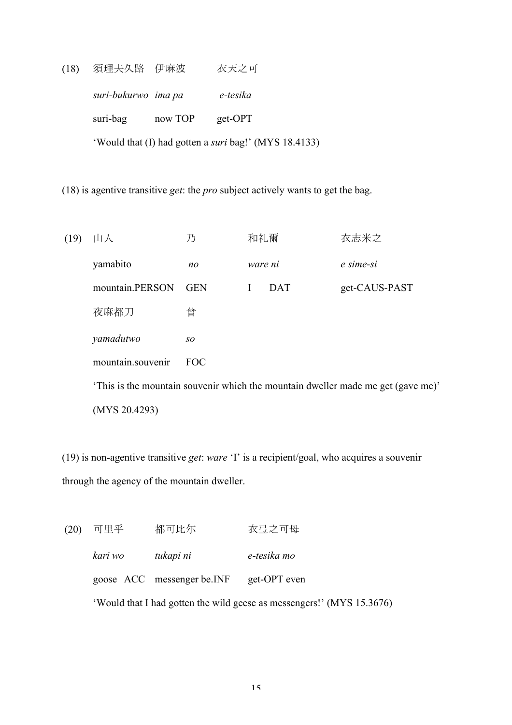(18) 須理夫久路 伊麻波 衣天之可 *suri-bukurwo ima pa e-tesika* suri-bag now TOP get-OPT 'Would that (I) had gotten a *suri* bag!' (MYS 18.4133)

(18) is agentive transitive *get*: the *pro* subject actively wants to get the bag.

(19) 山人 乃 和礼爾 衣志米之 yamabito *no ware ni e sime*-*si* mountain.PERSON GEN I DAT get-CAUS-PAST 夜麻都刀 曾 *yamadutwo so* mountain.souvenir FOC 'This is the mountain souvenir which the mountain dweller made me get (gave me)' (MYS 20.4293)

(19) is non-agentive transitive *get*: *ware* 'I' is a recipient/goal, who acquires a souvenir through the agency of the mountain dweller.

(20) 可里乎 都可比尓 衣弖之可母 *kari wo tukapi ni e*-*tesika mo* goose ACC messenger be.INF get-OPT even 'Would that I had gotten the wild geese as messengers!' (MYS 15.3676)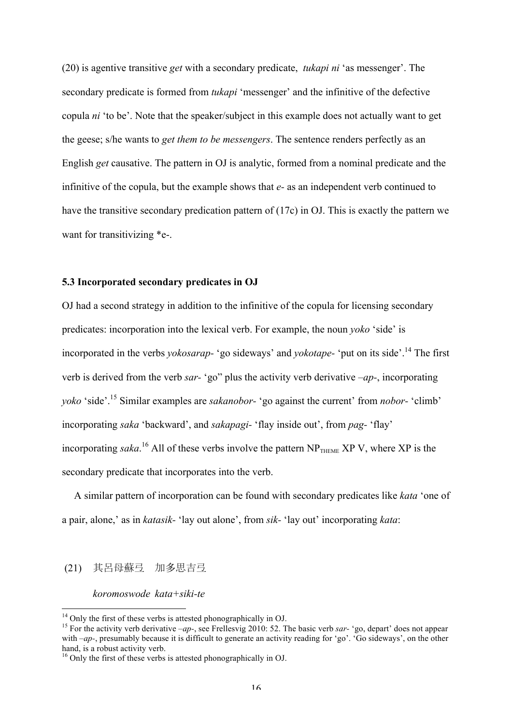(20) is agentive transitive *get* with a secondary predicate, *tukapi ni* 'as messenger'. The secondary predicate is formed from *tukapi* 'messenger' and the infinitive of the defective copula *ni* 'to be'. Note that the speaker/subject in this example does not actually want to get the geese; s/he wants to *get them to be messengers*. The sentence renders perfectly as an English *get* causative. The pattern in OJ is analytic, formed from a nominal predicate and the infinitive of the copula, but the example shows that *e-* as an independent verb continued to have the transitive secondary predication pattern of (17c) in OJ. This is exactly the pattern we want for transitivizing  $*$ e-.

# **5.3 Incorporated secondary predicates in OJ**

OJ had a second strategy in addition to the infinitive of the copula for licensing secondary predicates: incorporation into the lexical verb. For example, the noun *yoko* 'side' is incorporated in the verbs *yokosarap-* 'go sideways' and *yokotape-* 'put on its side'.14 The first verb is derived from the verb *sar-* 'go" plus the activity verb derivative *–ap-*, incorporating *yoko* 'side'. <sup>15</sup> Similar examples are *sakanobor-* 'go against the current' from *nobor-* 'climb' incorporating *saka* 'backward', and *sakapagi-* 'flay inside out', from *pag-* 'flay' incorporating *saka*.<sup>16</sup> All of these verbs involve the pattern  $NP$ <sub>THEME</sub>  $XP$  V, where  $XP$  is the secondary predicate that incorporates into the verb.

A similar pattern of incorporation can be found with secondary predicates like *kata* 'one of a pair, alone,' as in *katasik-* 'lay out alone', from *sik-* 'lay out' incorporating *kata*:

#### (21) 其呂母蘇弓 加多思吉弓

# *koromoswode kata+siki-te*

<sup>&</sup>lt;sup>14</sup> Only the first of these verbs is attested phonographically in OJ.<br><sup>15</sup> For the activity verb derivative *–ap-*, see Frellesvig 2010: 52. The basic verb *sar-* 'go, depart' does not appear with *–ap-*, presumably because it is difficult to generate an activity reading for 'go'. 'Go sideways', on the other hand, is a robust activity verb.

<sup>&</sup>lt;sup>16</sup> Only the first of these verbs is attested phonographically in OJ.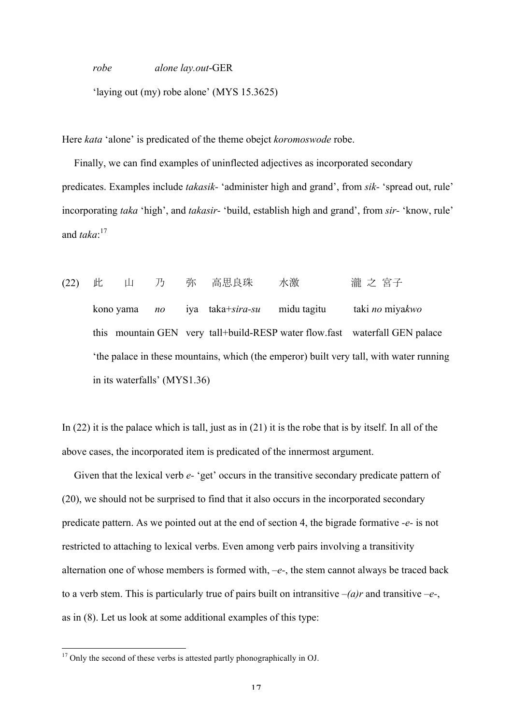*robe alone lay.out*-GER

'laying out (my) robe alone' (MYS 15.3625)

Here *kata* 'alone' is predicated of the theme obejct *koromoswode* robe.

Finally, we can find examples of uninflected adjectives as incorporated secondary predicates. Examples include *takasik-* 'administer high and grand', from *sik-* 'spread out, rule' incorporating *taka* 'high', and *takasir-* 'build, establish high and grand', from *sir-* 'know, rule' and *taka*: 17

(22) 此 山 乃 弥 高思良珠 水激 浦之宮子 kono yama *no* iya taka+*sira-su* midu tagitu taki *no* miya*kwo* this mountain GEN very tall+build-RESP water flow.fast waterfall GEN palace 'the palace in these mountains, which (the emperor) built very tall, with water running in its waterfalls' (MYS1.36)

In (22) it is the palace which is tall, just as in (21) it is the robe that is by itself. In all of the above cases, the incorporated item is predicated of the innermost argument.

Given that the lexical verb  $e$ - 'get' occurs in the transitive secondary predicate pattern of (20), we should not be surprised to find that it also occurs in the incorporated secondary predicate pattern. As we pointed out at the end of section 4, the bigrade formative *-e-* is not restricted to attaching to lexical verbs. Even among verb pairs involving a transitivity alternation one of whose members is formed with, *–e-*, the stem cannot always be traced back to a verb stem. This is particularly true of pairs built on intransitive  $-(a)r$  and transitive  $-e$ -, as in (8). Let us look at some additional examples of this type:

<sup>&</sup>lt;sup>17</sup> Only the second of these verbs is attested partly phonographically in OJ.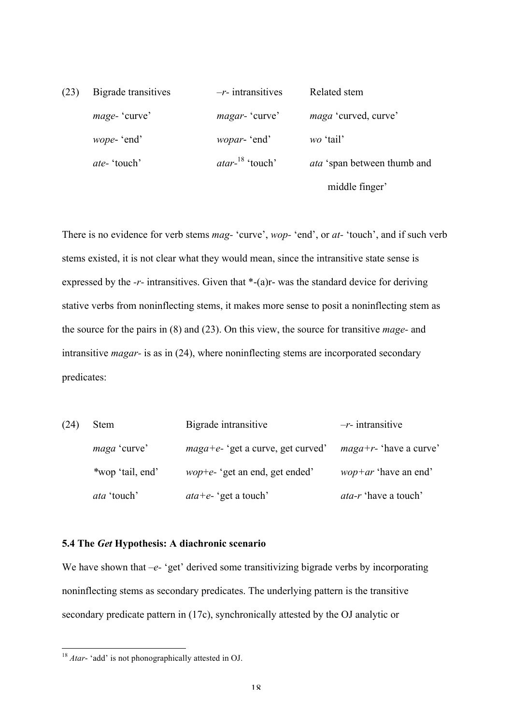| (23) | Bigrade transitives | $-r$ - intransitives    | Related stem                       |
|------|---------------------|-------------------------|------------------------------------|
|      | mage-'curve'        | <i>magar</i> - 'curve'  | <i>maga</i> 'curved, curve'        |
|      | <i>wope</i> - 'end' | <i>wopar</i> - 'end'    | wo 'tail'                          |
|      | <i>ate</i> -'touch' | $\arctan^{-18}$ 'touch' | <i>ata</i> 'span between thumb and |
|      |                     |                         | middle finger'                     |

There is no evidence for verb stems *mag-* 'curve', *wop-* 'end', or *at-* 'touch', and if such verb stems existed, it is not clear what they would mean, since the intransitive state sense is expressed by the *-r-* intransitives. Given that \*-(a)r- was the standard device for deriving stative verbs from noninflecting stems, it makes more sense to posit a noninflecting stem as the source for the pairs in (8) and (23). On this view, the source for transitive *mage-* and intransitive *magar-* is as in (24), where noninflecting stems are incorporated secondary predicates:

| (24) | <b>Stem</b>         | Bigrade intransitive                   | $-r$ - intransitive             |
|------|---------------------|----------------------------------------|---------------------------------|
|      | <i>maga</i> 'curve' | $maga + e$ - 'get a curve, get curved' | $magat-r$ - 'have a curve'      |
|      | *wop 'tail, end'    | <i>wop+e-</i> 'get an end, get ended'  | <i>wop</i> + $ar$ 'have an end' |
|      | <i>ata</i> 'touch'  | <i>ata</i> + <i>e</i> - 'get a touch'  | <i>ata-r</i> 'have a touch'     |

### **5.4 The** *Get* **Hypothesis: A diachronic scenario**

We have shown that *–e-* 'get' derived some transitivizing bigrade verbs by incorporating noninflecting stems as secondary predicates. The underlying pattern is the transitive secondary predicate pattern in (17c), synchronically attested by the OJ analytic or

 <sup>18</sup> *Atar*- 'add' is not phonographically attested in OJ.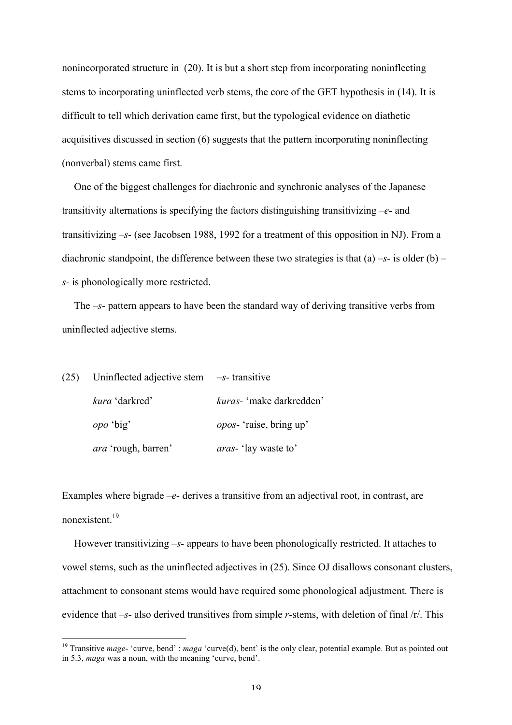nonincorporated structure in (20). It is but a short step from incorporating noninflecting stems to incorporating uninflected verb stems, the core of the GET hypothesis in (14). It is difficult to tell which derivation came first, but the typological evidence on diathetic acquisitives discussed in section (6) suggests that the pattern incorporating noninflecting (nonverbal) stems came first.

One of the biggest challenges for diachronic and synchronic analyses of the Japanese transitivity alternations is specifying the factors distinguishing transitivizing *–e-* and transitivizing *–s-* (see Jacobsen 1988, 1992 for a treatment of this opposition in NJ). From a diachronic standpoint, the difference between these two strategies is that (a) *–s-* is older (b) *– s-* is phonologically more restricted.

The *–s-* pattern appears to have been the standard way of deriving transitive verbs from uninflected adjective stems.

| $(25)$ Uninflected adjective stem $-s$ -transitive |                                 |
|----------------------------------------------------|---------------------------------|
| <i>kura</i> 'darkred'                              | kuras- 'make darkredden'        |
| <i>opo</i> 'big'                                   | <i>opos</i> - 'raise, bring up' |
| <i>ara</i> 'rough, barren'                         | <i>aras</i> -'lay waste to'     |

Examples where bigrade *–e-* derives a transitive from an adjectival root, in contrast, are nonexistent. 19

However transitivizing *–s-* appears to have been phonologically restricted. It attaches to vowel stems, such as the uninflected adjectives in (25). Since OJ disallows consonant clusters, attachment to consonant stems would have required some phonological adjustment. There is evidence that *–s-* also derived transitives from simple *r*-stems, with deletion of final /r/. This

<sup>&</sup>lt;sup>19</sup> Transitive *mage*- 'curve, bend' : *maga* 'curve(d), bent' is the only clear, potential example. But as pointed out in 5.3, *maga* was a noun, with the meaning 'curve, bend'.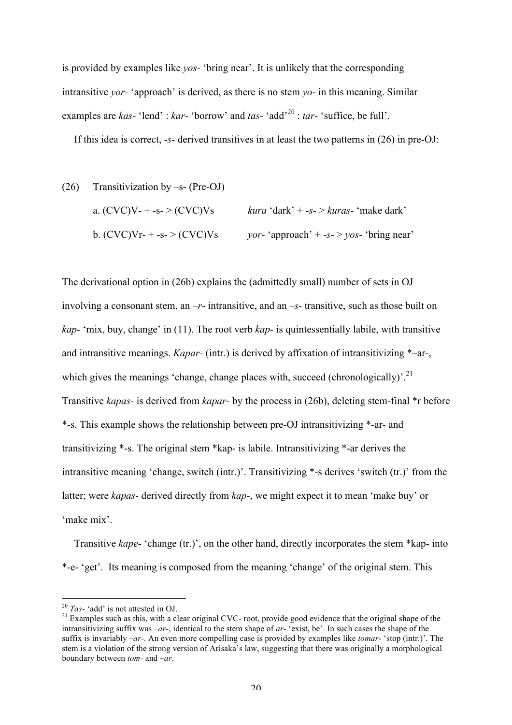is provided by examples like *yos-* 'bring near'. It is unlikely that the corresponding intransitive *yor-* 'approach' is derived, as there is no stem *yo*- in this meaning. Similar examples are *kas-* 'lend' : *kar-* 'borrow' and *tas-* 'add'<sup>20</sup> : *tar-* 'suffice, be full'.

If this idea is correct, *-s-* derived transitives in at least the two patterns in (26) in pre-OJ:

(26) Transitivization by 
$$
-s
$$
- (Pre-OJ)

\na. (CVC)V- $+s$ -> (CVC)Vs

\nb. (CVC)V- $+s$ -> (CVC)Vs

\nFor 'approach'  $+s$ ->  $yos$ - 'bring near'

The derivational option in (26b) explains the (admittedly small) number of sets in OJ involving a consonant stem, an *–r-* intransitive, and an *–s-* transitive, such as those built on *kap-* 'mix, buy, change' in (11). The root verb *kap-* is quintessentially labile, with transitive and intransitive meanings. *Kapar-* (intr.) is derived by affixation of intransitivizing \*–ar-, which gives the meanings 'change, change places with, succeed (chronologically)'.<sup>21</sup> Transitive *kapas-* is derived from *kapar-* by the process in (26b), deleting stem-final \*r before \*-s. This example shows the relationship between pre-OJ intransitivizing \*-ar- and transitivizing \*-s. The original stem \*kap- is labile. Intransitivizing \*-ar derives the intransitive meaning 'change, switch (intr.)'. Transitivizing \*-s derives 'switch (tr.)' from the latter; were *kapas*- derived directly from *kap*-, we might expect it to mean 'make buy' or 'make mix'.

Transitive *kape-* 'change (tr.)', on the other hand, directly incorporates the stem \*kap- into \*-e- 'get'. Its meaning is composed from the meaning 'change' of the original stem. This

<sup>&</sup>lt;sup>20</sup> *Tas*- 'add' is not attested in OJ.<br><sup>21</sup> Examples such as this, with a clear original CVC- root, provide good evidence that the original shape of the intransitivizing suffix was *–ar-*, identical to the stem shape of *ar-* 'exist, be'. In such cases the shape of the suffix is invariably *–ar-*. An even more compelling case is provided by examples like *tomar-* 'stop (intr.)'. The stem is a violation of the strong version of Arisaka's law, suggesting that there was originally a morphological boundary between *tom-* and *–ar*.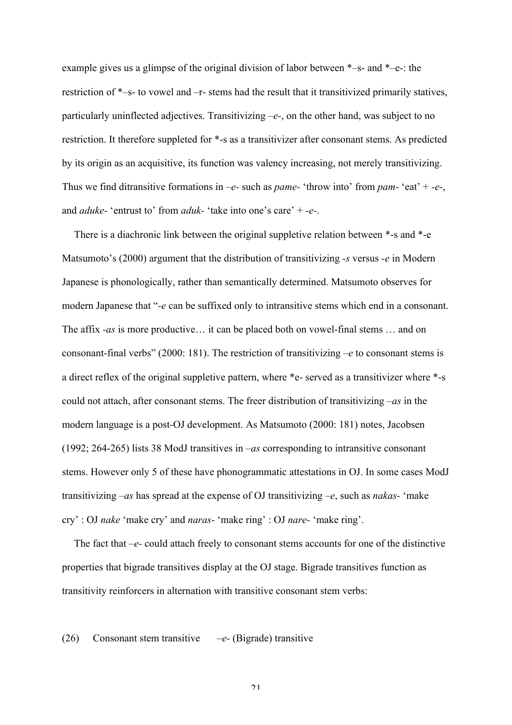example gives us a glimpse of the original division of labor between \*–s- and \*–e-: the restriction of \*–s- to vowel and –r- stems had the result that it transitivized primarily statives, particularly uninflected adjectives. Transitivizing *–e-*, on the other hand, was subject to no restriction. It therefore suppleted for \*-s as a transitivizer after consonant stems. As predicted by its origin as an acquisitive, its function was valency increasing, not merely transitivizing. Thus we find ditransitive formations in *–e-* such as *pame-* 'throw into' from *pam-* 'eat' + *-e-*, and *aduke-* 'entrust to' from *aduk-* 'take into one's care' + *-e-*.

There is a diachronic link between the original suppletive relation between \*-s and \*-e Matsumoto's (2000) argument that the distribution of transitivizing *-s* versus *-e* in Modern Japanese is phonologically, rather than semantically determined. Matsumoto observes for modern Japanese that "*-e* can be suffixed only to intransitive stems which end in a consonant. The affix *-as* is more productive… it can be placed both on vowel-final stems … and on consonant-final verbs" (2000: 181). The restriction of transitivizing *–e* to consonant stems is a direct reflex of the original suppletive pattern, where \*e- served as a transitivizer where \*-s could not attach, after consonant stems. The freer distribution of transitivizing *–as* in the modern language is a post-OJ development. As Matsumoto (2000: 181) notes, Jacobsen (1992; 264-265) lists 38 ModJ transitives in *–as* corresponding to intransitive consonant stems. However only 5 of these have phonogrammatic attestations in OJ. In some cases ModJ transitivizing *–as* has spread at the expense of OJ transitivizing *–e*, such as *nakas-* 'make cry' : OJ *nake* 'make cry' and *naras-* 'make ring' : OJ *nare-* 'make ring'.

The fact that *–e-* could attach freely to consonant stems accounts for one of the distinctive properties that bigrade transitives display at the OJ stage. Bigrade transitives function as transitivity reinforcers in alternation with transitive consonant stem verbs:

### (26) Consonant stem transitive *–e-* (Bigrade) transitive

 $21$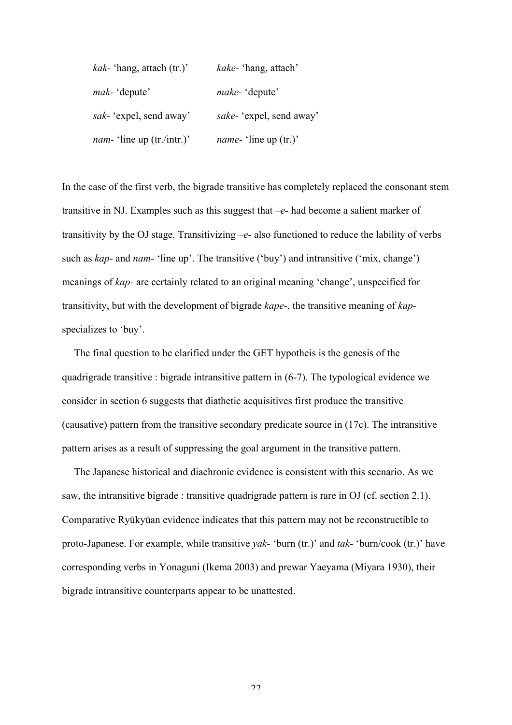| <i>kak</i> - 'hang, attach $(tr.)'$ | <i>kake</i> -'hang, attach'  |
|-------------------------------------|------------------------------|
| <i>mak</i> - 'depute'               | <i>make</i> -'depute'        |
| sak- 'expel, send away'             | sake- 'expel, send away'     |
| <i>nam</i> -'line up (tr./intr.)'   | <i>name</i> -'line up (tr.)' |

In the case of the first verb, the bigrade transitive has completely replaced the consonant stem transitive in NJ. Examples such as this suggest that *–e-* had become a salient marker of transitivity by the OJ stage. Transitivizing *–e-* also functioned to reduce the lability of verbs such as *kap-* and *nam-* 'line up'. The transitive ('buy') and intransitive ('mix, change') meanings of *kap-* are certainly related to an original meaning 'change', unspecified for transitivity, but with the development of bigrade *kape-*, the transitive meaning of *kap*specializes to 'buy'.

The final question to be clarified under the GET hypotheis is the genesis of the quadrigrade transitive : bigrade intransitive pattern in (6-7). The typological evidence we consider in section 6 suggests that diathetic acquisitives first produce the transitive (causative) pattern from the transitive secondary predicate source in (17c). The intransitive pattern arises as a result of suppressing the goal argument in the transitive pattern.

The Japanese historical and diachronic evidence is consistent with this scenario. As we saw, the intransitive bigrade : transitive quadrigrade pattern is rare in OJ (cf. section 2.1). Comparative Ryūkyūan evidence indicates that this pattern may not be reconstructible to proto-Japanese. For example, while transitive *yak-* 'burn (tr.)' and *tak-* 'burn/cook (tr.)' have corresponding verbs in Yonaguni (Ikema 2003) and prewar Yaeyama (Miyara 1930), their bigrade intransitive counterparts appear to be unattested.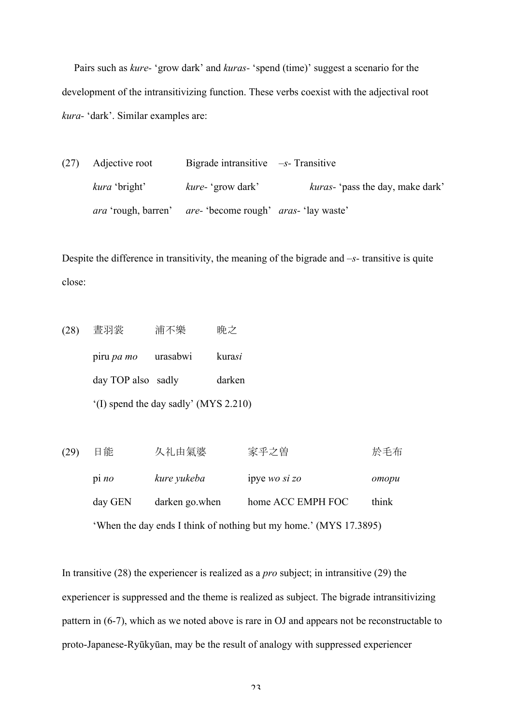Pairs such as *kure-* 'grow dark' and *kuras-* 'spend (time)' suggest a scenario for the development of the intransitivizing function. These verbs coexist with the adjectival root *kura-* 'dark'. Similar examples are:

(27) Adjective root Bigrade intransitive *–s-* Transitive *kura* 'bright' *kure-* 'grow dark' *kuras-* 'pass the day, make dark' *ara* 'rough, barren' *are-* 'become rough' *aras-* 'lay waste'

Despite the difference in transitivity, the meaning of the bigrade and *–s-* transitive is quite close:

- (28) 晝羽裳 浦不樂 晩之 piru *pa mo* urasabwi kura*si* day TOP also sadly darken '(I) spend the day sadly' (MYS 2.210)
- (29) 日能 久礼由氣婆 家乎之曽 於毛布 pi *no kure yukeba* ipye *wo si zo omopu* day GEN darken go.when home ACC EMPH FOC think 'When the day ends I think of nothing but my home.' (MYS 17.3895)

In transitive (28) the experiencer is realized as a *pro* subject; in intransitive (29) the experiencer is suppressed and the theme is realized as subject. The bigrade intransitivizing pattern in (6-7), which as we noted above is rare in OJ and appears not be reconstructable to proto-Japanese-Ryūkyūan, may be the result of analogy with suppressed experiencer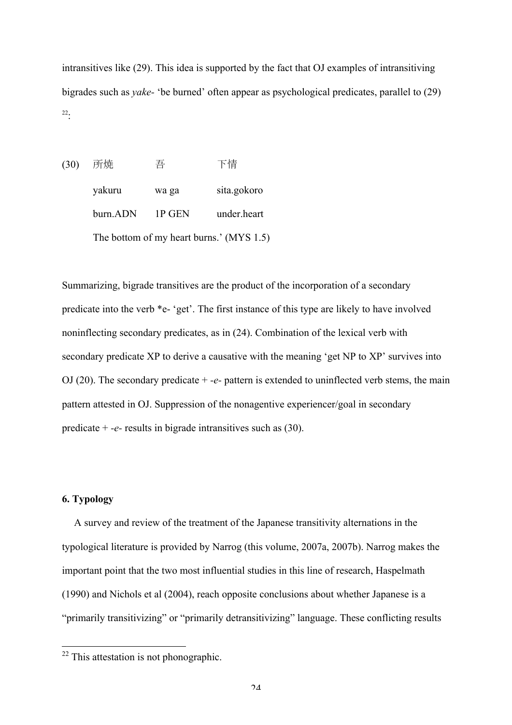intransitives like (29). This idea is supported by the fact that OJ examples of intransitiving bigrades such as *yake-* 'be burned' often appear as psychological predicates, parallel to (29) 22:

(30) 所焼 吾 下情 yakuru wa ga sita.gokoro burn.ADN 1P GEN under.heart The bottom of my heart burns.' (MYS 1.5)

Summarizing, bigrade transitives are the product of the incorporation of a secondary predicate into the verb \*e- 'get'. The first instance of this type are likely to have involved noninflecting secondary predicates, as in (24). Combination of the lexical verb with secondary predicate XP to derive a causative with the meaning 'get NP to XP' survives into OJ (20). The secondary predicate + *-e-* pattern is extended to uninflected verb stems, the main pattern attested in OJ. Suppression of the nonagentive experiencer/goal in secondary predicate + *-e-* results in bigrade intransitives such as (30).

# **6. Typology**

A survey and review of the treatment of the Japanese transitivity alternations in the typological literature is provided by Narrog (this volume, 2007a, 2007b). Narrog makes the important point that the two most influential studies in this line of research, Haspelmath (1990) and Nichols et al (2004), reach opposite conclusions about whether Japanese is a "primarily transitivizing" or "primarily detransitivizing" language. These conflicting results

 $22$  This attestation is not phonographic.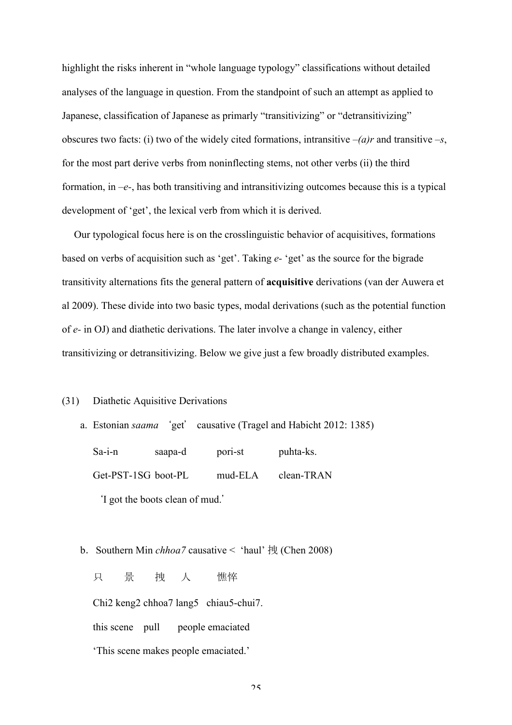highlight the risks inherent in "whole language typology" classifications without detailed analyses of the language in question. From the standpoint of such an attempt as applied to Japanese, classification of Japanese as primarly "transitivizing" or "detransitivizing" obscures two facts: (i) two of the widely cited formations, intransitive  $-(a)r$  and transitive  $-s$ , for the most part derive verbs from noninflecting stems, not other verbs (ii) the third formation, in *–e-*, has both transitiving and intransitivizing outcomes because this is a typical development of 'get', the lexical verb from which it is derived.

Our typological focus here is on the crosslinguistic behavior of acquisitives, formations based on verbs of acquisition such as 'get'. Taking *e-* 'get' as the source for the bigrade transitivity alternations fits the general pattern of **acquisitive** derivations (van der Auwera et al 2009). These divide into two basic types, modal derivations (such as the potential function of *e-* in OJ) and diathetic derivations. The later involve a change in valency, either transitivizing or detransitivizing. Below we give just a few broadly distributed examples.

#### (31) Diathetic Aquisitive Derivations

- a. Estonian *saama* 'get' causative (Tragel and Habicht 2012: 1385) Sa-i-n saapa-d pori-st puhta-ks. Get-PST-1SG boot-PL mud-ELA clean-TRAN 'I got the boots clean of mud.'
- b.Southern Min *chhoa7* causative < 'haul' 拽 (Chen 2008) 只 景 拽 人 憔悴 Chi2 keng2 chhoa7 lang5 chiau5-chui7. this scene pull people emaciated 'This scene makes people emaciated.'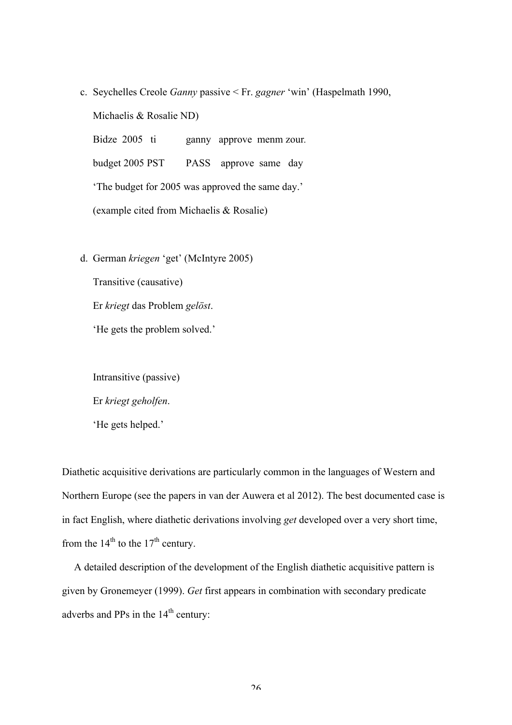- c. Seychelles Creole *Ganny* passive < Fr. *gagner* 'win' (Haspelmath 1990, Michaelis & Rosalie ND) Bidze 2005 ti ganny approve menm zour. budget 2005 PST PASS approve same day 'The budget for 2005 was approved the same day.' (example cited from Michaelis & Rosalie)
- d. German *kriegen* 'get' (McIntyre 2005)

Transitive (causative) Er *kriegt* das Problem *gelöst*. 'He gets the problem solved.'

Intransitive (passive) Er *kriegt geholfen*. 'He gets helped.'

Diathetic acquisitive derivations are particularly common in the languages of Western and Northern Europe (see the papers in van der Auwera et al 2012). The best documented case is in fact English, where diathetic derivations involving *get* developed over a very short time, from the  $14<sup>th</sup>$  to the  $17<sup>th</sup>$  century.

A detailed description of the development of the English diathetic acquisitive pattern is given by Gronemeyer (1999). *Get* first appears in combination with secondary predicate adverbs and PPs in the 14<sup>th</sup> century: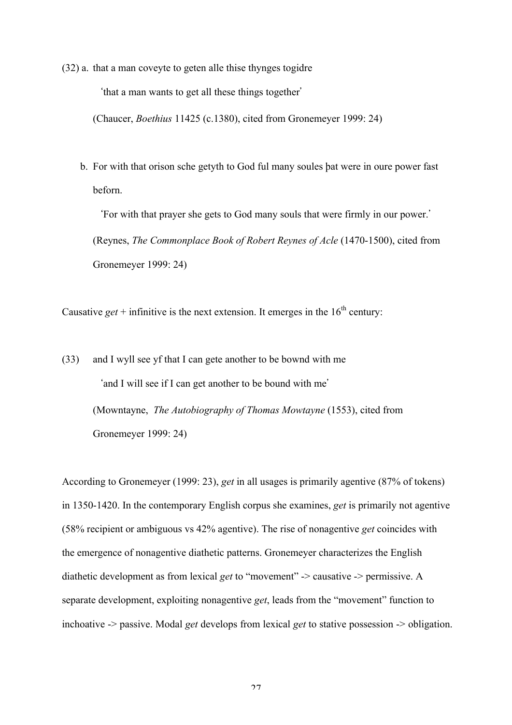(32) a. that a man coveyte to geten alle thise thynges togidre

'that a man wants to get all these things together'

(Chaucer, *Boethius* 11425 (c.1380), cited from Gronemeyer 1999: 24)

b. For with that orison sche getyth to God ful many soules þat were in oure power fast beforn.

'For with that prayer she gets to God many souls that were firmly in our power.' (Reynes, *The Commonplace Book of Robert Reynes of Acle* (1470-1500), cited from Gronemeyer 1999: 24)

Causative  $get$  + infinitive is the next extension. It emerges in the  $16<sup>th</sup>$  century:

(33) and I wyll see yf that I can gete another to be bownd with me 'and I will see if I can get another to be bound with me' (Mowntayne, *The Autobiography of Thomas Mowtayne* (1553), cited from Gronemeyer 1999: 24)

According to Gronemeyer (1999: 23), *get* in all usages is primarily agentive (87% of tokens) in 1350-1420. In the contemporary English corpus she examines, *get* is primarily not agentive (58% recipient or ambiguous vs 42% agentive). The rise of nonagentive *get* coincides with the emergence of nonagentive diathetic patterns. Gronemeyer characterizes the English diathetic development as from lexical *get* to "movement" -> causative -> permissive. A separate development, exploiting nonagentive *get*, leads from the "movement" function to inchoative -> passive. Modal *get* develops from lexical *get* to stative possession -> obligation.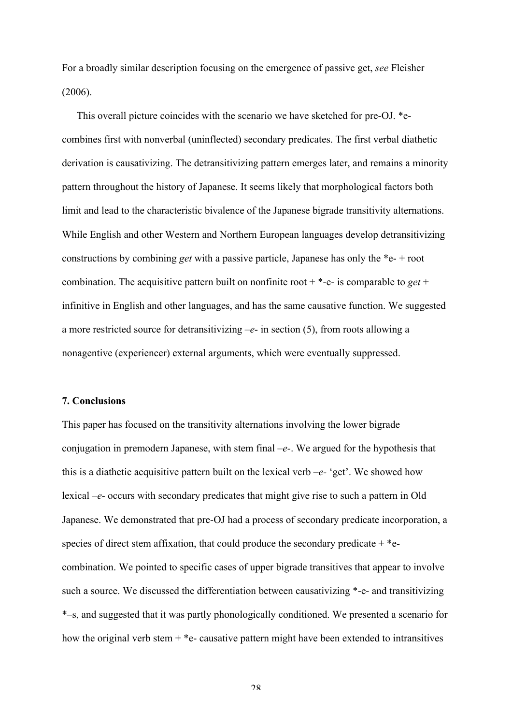For a broadly similar description focusing on the emergence of passive get, *see* Fleisher (2006).

This overall picture coincides with the scenario we have sketched for pre-OJ. \*ecombines first with nonverbal (uninflected) secondary predicates. The first verbal diathetic derivation is causativizing. The detransitivizing pattern emerges later, and remains a minority pattern throughout the history of Japanese. It seems likely that morphological factors both limit and lead to the characteristic bivalence of the Japanese bigrade transitivity alternations. While English and other Western and Northern European languages develop detransitivizing constructions by combining *get* with a passive particle, Japanese has only the \*e- + root combination. The acquisitive pattern built on nonfinite root  $+$  \*-e- is comparable to *get* + infinitive in English and other languages, and has the same causative function. We suggested a more restricted source for detransitivizing *–e-* in section (5), from roots allowing a nonagentive (experiencer) external arguments, which were eventually suppressed.

### **7. Conclusions**

This paper has focused on the transitivity alternations involving the lower bigrade conjugation in premodern Japanese, with stem final *–e-*. We argued for the hypothesis that this is a diathetic acquisitive pattern built on the lexical verb *–e-* 'get'. We showed how lexical *–e-* occurs with secondary predicates that might give rise to such a pattern in Old Japanese. We demonstrated that pre-OJ had a process of secondary predicate incorporation, a species of direct stem affixation, that could produce the secondary predicate  $+$  \*ecombination. We pointed to specific cases of upper bigrade transitives that appear to involve such a source. We discussed the differentiation between causativizing \*-e- and transitivizing \*–s, and suggested that it was partly phonologically conditioned. We presented a scenario for how the original verb stem  $+$  \*e- causative pattern might have been extended to intransitives

 $28$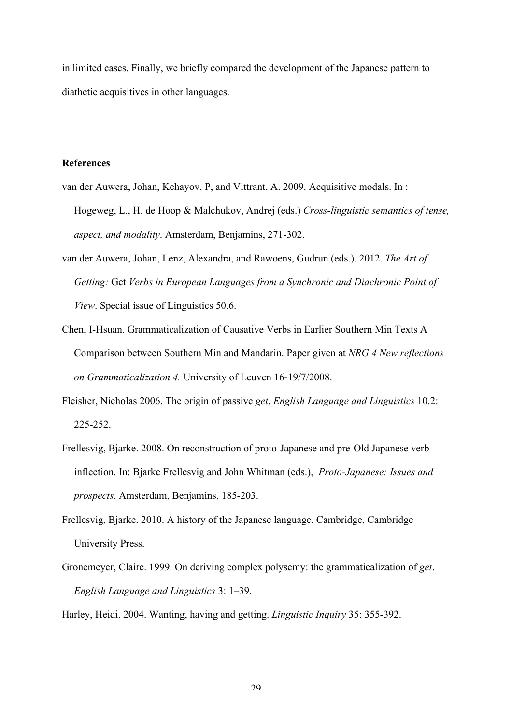in limited cases. Finally, we briefly compared the development of the Japanese pattern to diathetic acquisitives in other languages.

#### **References**

- van der Auwera, Johan, Kehayov, P, and Vittrant, A. 2009. Acquisitive modals. In : Hogeweg, L., H. de Hoop & Malchukov, Andrej (eds.) *Cross-linguistic semantics of tense, aspect, and modality*. Amsterdam, Benjamins, 271-302.
- van der Auwera, Johan, Lenz, Alexandra, and Rawoens, Gudrun (eds.). 2012. *The Art of Getting:* Get *Verbs in European Languages from a Synchronic and Diachronic Point of View*. Special issue of Linguistics 50.6.
- Chen, I-Hsuan. Grammaticalization of Causative Verbs in Earlier Southern Min Texts A Comparison between Southern Min and Mandarin. Paper given at *NRG 4 New reflections on Grammaticalization 4.* University of Leuven 16-19/7/2008.
- Fleisher, Nicholas 2006. The origin of passive *get*. *English Language and Linguistics* 10.2: 225-252.
- Frellesvig, Bjarke. 2008. On reconstruction of proto-Japanese and pre-Old Japanese verb inflection. In: Bjarke Frellesvig and John Whitman (eds.), *Proto-Japanese: Issues and prospects*. Amsterdam, Benjamins, 185-203.
- Frellesvig, Bjarke. 2010. A history of the Japanese language. Cambridge, Cambridge University Press.
- Gronemeyer, Claire. 1999. On deriving complex polysemy: the grammaticalization of *get*. *English Language and Linguistics* 3: 1–39.

Harley, Heidi. 2004. Wanting, having and getting. *Linguistic Inquiry* 35: 355-392.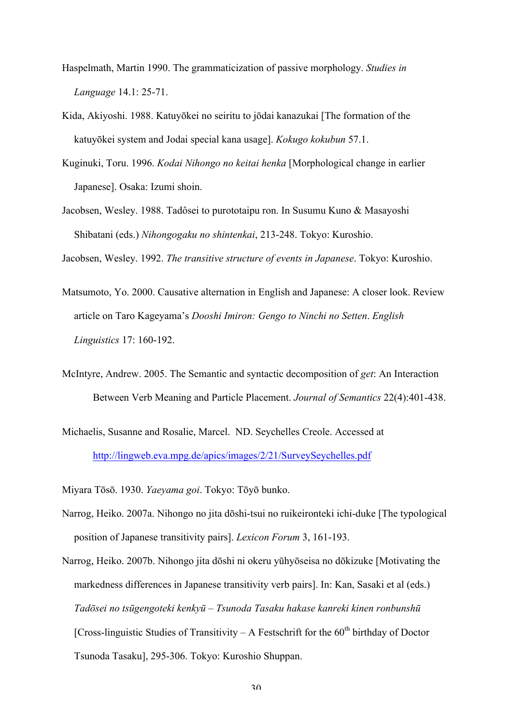- Haspelmath, Martin 1990. The grammaticization of passive morphology. *Studies in Language* 14.1: 25-71.
- Kida, Akiyoshi. 1988. Katuyōkei no seiritu to jōdai kanazukai [The formation of the katuyōkei system and Jodai special kana usage]. *Kokugo kokubun* 57.1.
- Kuginuki, Toru. 1996. *Kodai Nihongo no keitai henka* [Morphological change in earlier Japanese]. Osaka: Izumi shoin.
- Jacobsen, Wesley. 1988. Tadôsei to purototaipu ron. In Susumu Kuno & Masayoshi Shibatani (eds.) *Nihongogaku no shintenkai*, 213-248. Tokyo: Kuroshio.

Jacobsen, Wesley. 1992. *The transitive structure of events in Japanese*. Tokyo: Kuroshio.

- Matsumoto, Yo. 2000. Causative alternation in English and Japanese: A closer look. Review article on Taro Kageyama's *Dooshi Imiron: Gengo to Ninchi no Setten*. *English Linguistics* 17: 160-192.
- McIntyre, Andrew. 2005. The Semantic and syntactic decomposition of *get*: An Interaction Between Verb Meaning and Particle Placement. *Journal of Semantics* 22(4):401-438.
- Michaelis, Susanne and Rosalie, Marcel. ND. Seychelles Creole. Accessed at http://lingweb.eva.mpg.de/apics/images/2/21/SurveySeychelles.pdf

Miyara Tōsō. 1930. *Yaeyama goi*. Tokyo: Tōyō bunko.

- Narrog, Heiko. 2007a. Nihongo no jita dōshi-tsui no ruikeironteki ichi-duke [The typological position of Japanese transitivity pairs]. *Lexicon Forum* 3, 161-193.
- Narrog, Heiko. 2007b. Nihongo jita dōshi ni okeru yūhyōseisa no dōkizuke [Motivating the markedness differences in Japanese transitivity verb pairs]. In: Kan, Sasaki et al (eds.) *Tadōsei no tsūgengoteki kenkyū – Tsunoda Tasaku hakase kanreki kinen ronbunshū* [Cross-linguistic Studies of Transitivity – A Festschrift for the  $60<sup>th</sup>$  birthday of Doctor Tsunoda Tasaku], 295-306. Tokyo: Kuroshio Shuppan.